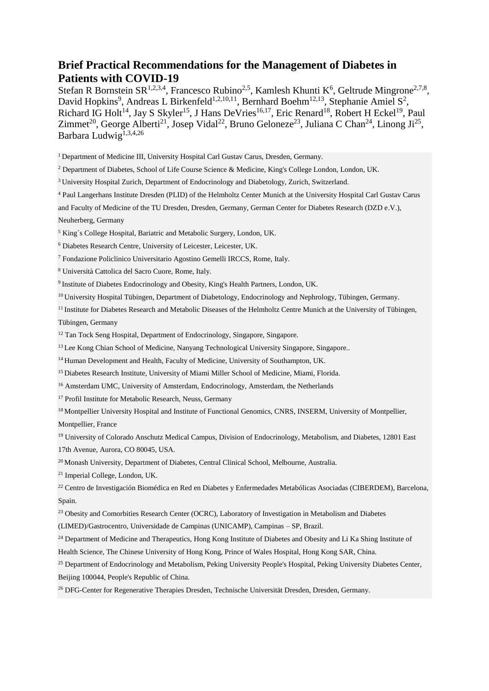### **Brief Practical Recommendations for the Management of Diabetes in Patients with COVID-19**

Stefan R Bornstein SR<sup>1,2,3,4</sup>, Francesco Rubino<sup>2,5</sup>, Kamlesh Khunti K<sup>6</sup>, Geltrude Mingrone<sup>2,7,8</sup>, David Hopkins<sup>9</sup>, Andreas L Birkenfeld<sup>1,2,10,11</sup>, Bernhard Boehm<sup>12,13</sup>, Stephanie Amiel S<sup>2</sup>, Richard IG Holt<sup>14</sup>, Jay S Skyler<sup>15</sup>, J Hans DeVries<sup>16,17</sup>, Eric Renard<sup>18</sup>, Robert H Eckel<sup>19</sup>, Paul Zimmet<sup>20</sup>, George Alberti<sup>21</sup>, Josep Vidal<sup>22</sup>, Bruno Geloneze<sup>23</sup>, Juliana C Chan<sup>24</sup>, Linong Ji<sup>25</sup>, Barbara Ludwig<sup>1,3,4,26</sup>

<sup>1</sup> Department of Medicine III, University Hospital Carl Gustav Carus, Dresden, Germany.

<sup>2</sup> Department of Diabetes, School of Life Course Science & Medicine, King's College London, London, UK.

<sup>3</sup>University Hospital Zurich, Department of Endocrinology and Diabetology, Zurich, Switzerland.

<sup>4</sup> Paul Langerhans Institute Dresden (PLID) of the Helmholtz Center Munich at the University Hospital Carl Gustav Carus

and Faculty of Medicine of the TU Dresden, Dresden, Germany, German Center for Diabetes Research (DZD e.V.), Neuherberg, Germany

<sup>5</sup> King´s College Hospital, Bariatric and Metabolic Surgery, London, UK.

<sup>6</sup> Diabetes Research Centre, University of Leicester, Leicester, UK.

<sup>7</sup> Fondazione Policlinico Universitario Agostino Gemelli IRCCS, Rome, Italy.

<sup>8</sup> Università Cattolica del Sacro Cuore, Rome, Italy.

<sup>9</sup> Institute of Diabetes Endocrinology and Obesity, King's Health Partners, London, UK.

<sup>10</sup> University Hospital Tübingen, Department of Diabetology, Endocrinology and Nephrology, Tübingen, Germany.

<sup>11</sup> Institute for Diabetes Research and Metabolic Diseases of the Helmholtz Centre Munich at the University of Tübingen, Tübingen, Germany

<sup>12</sup> Tan Tock Seng Hospital, Department of Endocrinology, Singapore, Singapore.

<sup>13</sup> Lee Kong Chian School of Medicine, Nanyang Technological University Singapore, Singapore..

<sup>14</sup> Human Development and Health, Faculty of Medicine, University of Southampton, UK.

<sup>15</sup> Diabetes Research Institute, University of Miami Miller School of Medicine, Miami, Florida.

<sup>16</sup> Amsterdam UMC, University of Amsterdam, Endocrinology, Amsterdam, the Netherlands

<sup>17</sup> Profil Institute for Metabolic Research, Neuss, Germany

<sup>18</sup> Montpellier University Hospital and Institute of Functional Genomics, CNRS, INSERM, University of Montpellier,

Montpellier, France

<sup>19</sup> University of Colorado Anschutz Medical Campus, Division of Endocrinology, Metabolism, and Diabetes, 12801 East

17th Avenue, Aurora, CO 80045, USA.

<sup>20</sup> Monash University, Department of Diabetes, Central Clinical School, Melbourne, Australia.

21 Imperial College, London, UK.

<sup>22</sup> Centro de Investigación Biomédica en Red en Diabetes y Enfermedades Metabólicas Asociadas (CIBERDEM), Barcelona, Spain.

<sup>23</sup> Obesity and Comorbities Research Center (OCRC), Laboratory of Investigation in Metabolism and Diabetes

(LIMED)/Gastrocentro, Universidade de Campinas (UNICAMP), Campinas – SP, Brazil.

<sup>24</sup> Department of Medicine and Therapeutics, Hong Kong Institute of Diabetes and Obesity and Li Ka Shing Institute of

Health Science, The Chinese University of Hong Kong, Prince of Wales Hospital, Hong Kong SAR, China.

<sup>25</sup> Department of Endocrinology and Metabolism, Peking University People's Hospital, Peking University Diabetes Center, Beijing 100044, People's Republic of China.

<sup>26</sup> DFG-Center for Regenerative Therapies Dresden, Technische Universität Dresden, Dresden, Germany.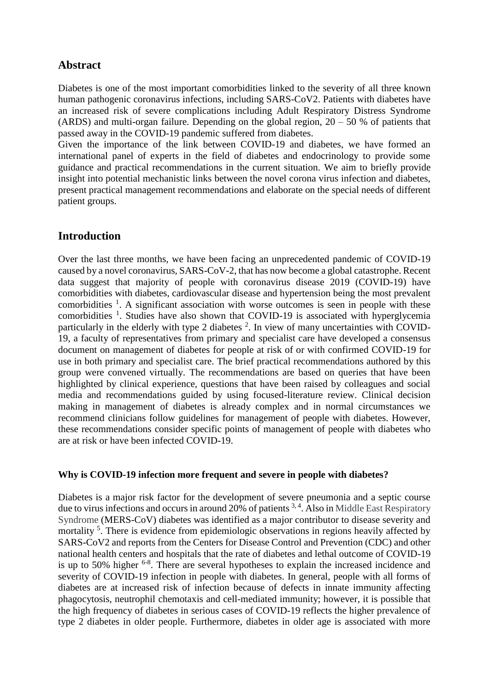# **Abstract**

Diabetes is one of the most important comorbidities linked to the severity of all three known human pathogenic coronavirus infections, including SARS-CoV2. Patients with diabetes have an increased risk of severe complications including Adult Respiratory Distress Syndrome (ARDS) and multi-organ failure. Depending on the global region,  $20 - 50$  % of patients that passed away in the COVID-19 pandemic suffered from diabetes.

Given the importance of the link between COVID-19 and diabetes, we have formed an international panel of experts in the field of diabetes and endocrinology to provide some guidance and practical recommendations in the current situation. We aim to briefly provide insight into potential mechanistic links between the novel corona virus infection and diabetes, present practical management recommendations and elaborate on the special needs of different patient groups.

# **Introduction**

Over the last three months, we have been facing an unprecedented pandemic of COVID-19 caused by a novel coronavirus, SARS-CoV-2, that has now become a global catastrophe. Recent data suggest that majority of people with coronavirus disease 2019 (COVID-19) have comorbidities with diabetes, cardiovascular disease and hypertension being the most prevalent comorbidities  $\frac{1}{1}$  $\frac{1}{1}$  $\frac{1}{1}$ . A significant association with worse outcomes is seen in people with these comorbidities  $<sup>1</sup>$  $<sup>1</sup>$  $<sup>1</sup>$ . Studies have also shown that COVID-19 is associated with hyperglycemia</sup> particularly in the elderly with type [2](#page-7-1) diabetes  $2$ . In view of many uncertainties with COVID-19, a faculty of representatives from primary and specialist care have developed a consensus document on management of diabetes for people at risk of or with confirmed COVID-19 for use in both primary and specialist care. The brief practical recommendations authored by this group were convened virtually. The recommendations are based on queries that have been highlighted by clinical experience, questions that have been raised by colleagues and social media and recommendations guided by using focused-literature review. Clinical decision making in management of diabetes is already complex and in normal circumstances we recommend clinicians follow guidelines for management of people with diabetes. However, these recommendations consider specific points of management of people with diabetes who are at risk or have been infected COVID-19.

### **Why is COVID-19 infection more frequent and severe in people with diabetes?**

Diabetes is a major risk factor for the development of severe pneumonia and a septic course due to virus infections and occurs in around 20% of patients <sup>[3,](#page-7-2) [4](#page-7-3)</sup>. Also in Middle East Respiratory Syndrome (MERS-CoV) diabetes was identified as a major contributor to disease severity and mortality<sup>[5](#page-7-4)</sup>. There is evidence from epidemiologic observations in regions heavily affected by SARS-CoV2 and reports from the Centers for Disease Control and Prevention (CDC) and other national health centers and hospitals that the rate of diabetes and lethal outcome of COVID-19 is up to 50% higher  $6-8$ . There are several hypotheses to explain the increased incidence and severity of COVID-19 infection in people with diabetes. In general, people with all forms of diabetes are at increased risk of infection because of defects in innate immunity affecting phagocytosis, neutrophil chemotaxis and cell-mediated immunity; however, it is possible that the high frequency of diabetes in serious cases of COVID-19 reflects the higher prevalence of type 2 diabetes in older people. Furthermore, diabetes in older age is associated with more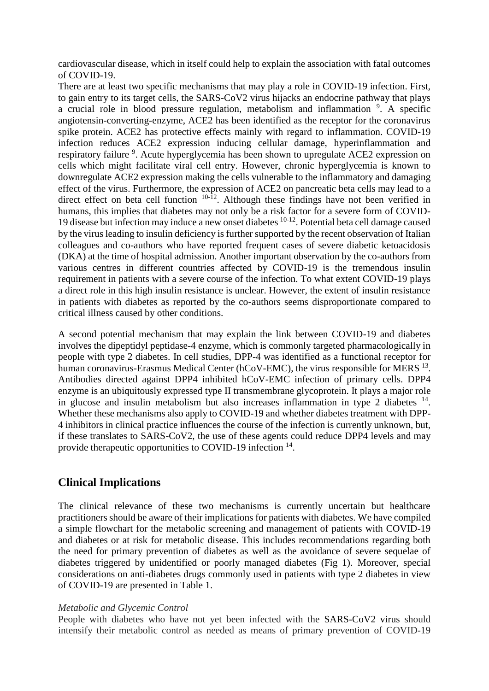cardiovascular disease, which in itself could help to explain the association with fatal outcomes of COVID-19.

There are at least two specific mechanisms that may play a role in COVID-19 infection. First, to gain entry to its target cells, the SARS-CoV2 virus hijacks an endocrine pathway that plays a crucial role in blood pressure regulation, metabolism and inflammation <sup>[9](#page-7-6)</sup>. A specific angiotensin-converting-enzyme, ACE2 has been identified as the receptor for the coronavirus spike protein. ACE2 has protective effects mainly with regard to inflammation. COVID-19 infection reduces ACE2 expression inducing cellular damage, hyperinflammation and respiratory failure <sup>[9](#page-7-6)</sup>. Acute hyperglycemia has been shown to upregulate ACE2 expression on cells which might facilitate viral cell entry. However, chronic hyperglycemia is known to downregulate ACE2 expression making the cells vulnerable to the inflammatory and damaging effect of the virus. Furthermore, the expression of ACE2 on pancreatic beta cells may lead to a direct effect on beta cell function  $10^{-12}$ . Although these findings have not been verified in humans, this implies that diabetes may not only be a risk factor for a severe form of COVID-19 disease but infection may induce a new onset diabetes [10-12](#page-7-7). Potential beta cell damage caused by the virus leading to insulin deficiency is further supported by the recent observation of Italian colleagues and co-authors who have reported frequent cases of severe diabetic ketoacidosis (DKA) at the time of hospital admission. Another important observation by the co-authors from various centres in different countries affected by COVID-19 is the tremendous insulin requirement in patients with a severe course of the infection. To what extent COVID-19 plays a direct role in this high insulin resistance is unclear. However, the extent of insulin resistance in patients with diabetes as reported by the co-authors seems disproportionate compared to critical illness caused by other conditions.

A second potential mechanism that may explain the link between COVID-19 and diabetes involves the dipeptidyl peptidase-4 enzyme, which is commonly targeted pharmacologically in people with type 2 diabetes. In cell studies, DPP-4 was identified as a functional receptor for human coronavirus-Erasmus Medical Center (hCoV-EMC), the virus responsible for MERS <sup>[13](#page-7-8)</sup>. Antibodies directed against DPP4 inhibited hCoV-EMC infection of primary cells. DPP4 enzyme is an ubiquitously expressed type II transmembrane glycoprotein. It plays a major role in glucose and insulin metabolism but also increases inflammation in type 2 diabetes  $14$ . Whether these mechanisms also apply to COVID-19 and whether diabetes treatment with DPP-4 inhibitors in clinical practice influences the course of the infection is currently unknown, but, if these translates to SARS-CoV2, the use of these agents could reduce DPP4 levels and may provide therapeutic opportunities to COVID-19 infection <sup>[14](#page-7-9)</sup>.

## **Clinical Implications**

The clinical relevance of these two mechanisms is currently uncertain but healthcare practitioners should be aware of their implications for patients with diabetes. We have compiled a simple flowchart for the metabolic screening and management of patients with COVID-19 and diabetes or at risk for metabolic disease. This includes recommendations regarding both the need for primary prevention of diabetes as well as the avoidance of severe sequelae of diabetes triggered by unidentified or poorly managed diabetes (Fig 1). Moreover, special considerations on anti-diabetes drugs commonly used in patients with type 2 diabetes in view of COVID-19 are presented in Table 1.

#### *Metabolic and Glycemic Control*

People with diabetes who have not yet been infected with the SARS-CoV2 virus should intensify their metabolic control as needed as means of primary prevention of COVID-19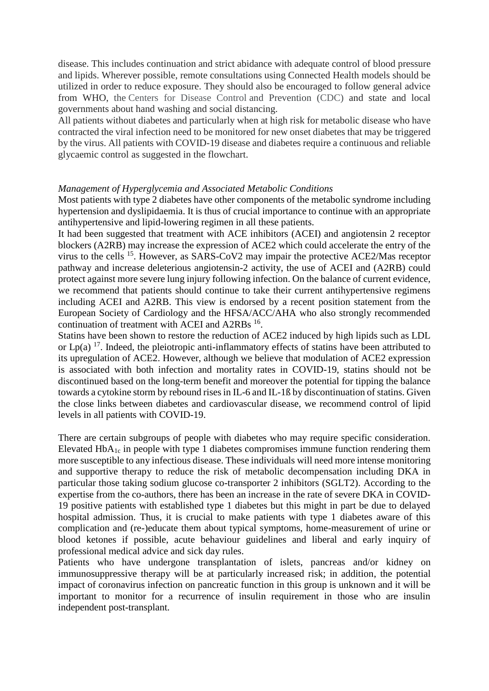disease. This includes continuation and strict abidance with adequate control of blood pressure and lipids. Wherever possible, remote consultations using Connected Health models should be utilized in order to reduce exposure. They should also be encouraged to follow general advice from WHO, the Centers for Disease Control and Prevention (CDC) and state and local governments about hand washing and social distancing.

All patients without diabetes and particularly when at high risk for metabolic disease who have contracted the viral infection need to be monitored for new onset diabetes that may be triggered by the virus. All patients with COVID-19 disease and diabetes require a continuous and reliable glycaemic control as suggested in the flowchart.

#### *Management of Hyperglycemia and Associated Metabolic Conditions*

Most patients with type 2 diabetes have other components of the metabolic syndrome including hypertension and dyslipidaemia. It is thus of crucial importance to continue with an appropriate antihypertensive and lipid-lowering regimen in all these patients.

It had been suggested that treatment with ACE inhibitors (ACEI) and angiotensin 2 receptor blockers (A2RB) may increase the expression of ACE2 which could accelerate the entry of the virus to the cells <sup>[15](#page-7-10)</sup>. However, as SARS-CoV2 may impair the protective ACE2/Mas receptor pathway and increase deleterious angiotensin-2 activity, the use of ACEI and (A2RB) could protect against more severe lung injury following infection. On the balance of current evidence, we recommend that patients should continue to take their current antihypertensive regimens including ACEI and A2RB. This view is endorsed by a recent position statement from the European Society of Cardiology and the HFSA/ACC/AHA who also strongly recommended continuation of treatment with ACEI and A2RBs <sup>[16](#page-7-11)</sup>.

Statins have been shown to restore the reduction of ACE2 induced by high lipids such as LDL or  $Lp(a)$ <sup>[17](#page-7-12)</sup>. Indeed, the pleiotropic anti-inflammatory effects of statins have been attributed to its upregulation of ACE2. However, although we believe that modulation of ACE2 expression is associated with both infection and mortality rates in COVID-19, statins should not be discontinued based on the long-term benefit and moreover the potential for tipping the balance towards a cytokine storm by rebound rises in IL-6 and IL-1ß by discontinuation of statins. Given the close links between diabetes and cardiovascular disease, we recommend control of lipid levels in all patients with COVID-19.

There are certain subgroups of people with diabetes who may require specific consideration. Elevated  $HbA_{1c}$  in people with type 1 diabetes compromises immune function rendering them more susceptible to any infectious disease. These individuals will need more intense monitoring and supportive therapy to reduce the risk of metabolic decompensation including DKA in particular those taking sodium glucose co-transporter 2 inhibitors (SGLT2). According to the expertise from the co-authors, there has been an increase in the rate of severe DKA in COVID-19 positive patients with established type 1 diabetes but this might in part be due to delayed hospital admission. Thus, it is crucial to make patients with type 1 diabetes aware of this complication and (re-)educate them about typical symptoms, home-measurement of urine or blood ketones if possible, acute behaviour guidelines and liberal and early inquiry of professional medical advice and sick day rules.

Patients who have undergone transplantation of islets, pancreas and/or kidney on immunosuppressive therapy will be at particularly increased risk; in addition, the potential impact of coronavirus infection on pancreatic function in this group is unknown and it will be important to monitor for a recurrence of insulin requirement in those who are insulin independent post-transplant.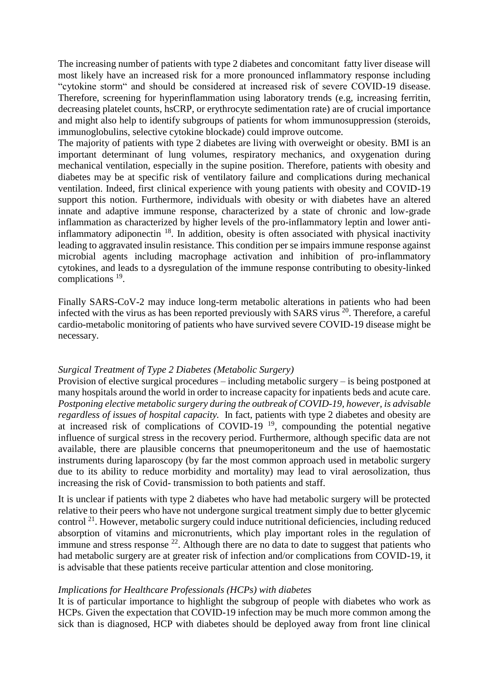The increasing number of patients with type 2 diabetes and concomitant fatty liver disease will most likely have an increased risk for a more pronounced inflammatory response including "cytokine storm" and should be considered at increased risk of severe COVID-19 disease. Therefore, screening for hyperinflammation using laboratory trends (e.g, increasing ferritin, decreasing platelet counts, hsCRP, or erythrocyte sedimentation rate) are of crucial importance and might also help to identify subgroups of patients for whom immunosuppression (steroids, immunoglobulins, selective cytokine blockade) could improve outcome.

The majority of patients with type 2 diabetes are living with overweight or obesity. BMI is an important determinant of lung volumes, respiratory mechanics, and oxygenation during mechanical ventilation, especially in the supine position. Therefore, patients with obesity and diabetes may be at specific risk of ventilatory failure and complications during mechanical ventilation. Indeed, first clinical experience with young patients with obesity and COVID-19 support this notion. Furthermore, individuals with obesity or with diabetes have an altered innate and adaptive immune response, characterized by a state of chronic and low-grade inflammation as characterized by higher levels of the pro-inflammatory leptin and lower antiinflammatory adiponectin  $18$ . In addition, obesity is often associated with physical inactivity leading to aggravated insulin resistance. This condition per se impairs immune response against microbial agents including macrophage activation and inhibition of pro-inflammatory cytokines, and leads to a dysregulation of the immune response contributing to obesity-linked complications <sup>[19](#page-7-14)</sup>.

Finally SARS-CoV-2 may induce long-term metabolic alterations in patients who had been infected with the virus as has been reported previously with SARS virus<sup>[20](#page-7-15)</sup>. Therefore, a careful cardio-metabolic monitoring of patients who have survived severe COVID-19 disease might be necessary.

#### *Surgical Treatment of Type 2 Diabetes (Metabolic Surgery)*

Provision of elective surgical procedures – including metabolic surgery – is being postponed at many hospitals around the world in order to increase capacity for inpatients beds and acute care. *Postponing elective metabolic surgery during the outbreak of COVID-19, however, is advisable regardless of issues of hospital capacity.* In fact, patients with type 2 diabetes and obesity are at increased risk of complications of COVID-[19](#page-7-14)<sup> $19$ </sup>, compounding the potential negative influence of surgical stress in the recovery period. Furthermore, although specific data are not available, there are plausible concerns that pneumoperitoneum and the use of haemostatic instruments during laparoscopy (by far the most common approach used in metabolic surgery due to its ability to reduce morbidity and mortality) may lead to viral aerosolization, thus increasing the risk of Covid- transmission to both patients and staff.

It is unclear if patients with type 2 diabetes who have had metabolic surgery will be protected relative to their peers who have not undergone surgical treatment simply due to better glycemic control [21](#page-7-16). However, metabolic surgery could induce nutritional deficiencies, including reduced absorption of vitamins and micronutrients, which play important roles in the regulation of immune and stress response  $22$ . Although there are no data to date to suggest that patients who had metabolic surgery are at greater risk of infection and/or complications from COVID-19, it is advisable that these patients receive particular attention and close monitoring.

#### *Implications for Healthcare Professionals (HCPs) with diabetes*

It is of particular importance to highlight the subgroup of people with diabetes who work as HCPs. Given the expectation that COVID-19 infection may be much more common among the sick than is diagnosed, HCP with diabetes should be deployed away from front line clinical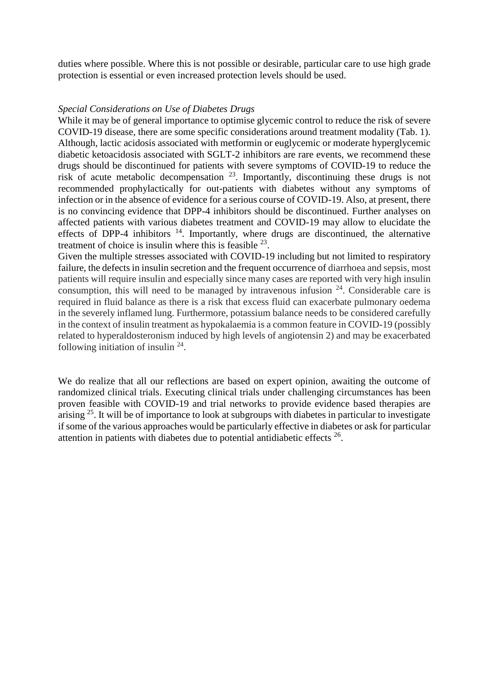duties where possible. Where this is not possible or desirable, particular care to use high grade protection is essential or even increased protection levels should be used.

#### *Special Considerations on Use of Diabetes Drugs*

While it may be of general importance to optimise glycemic control to reduce the risk of severe COVID-19 disease, there are some specific considerations around treatment modality (Tab. 1). Although, lactic acidosis associated with metformin or euglycemic or moderate hyperglycemic diabetic ketoacidosis associated with SGLT-2 inhibitors are rare events, we recommend these drugs should be discontinued for patients with severe symptoms of COVID-19 to reduce the risk of acute metabolic decompensation [23](#page-8-1). Importantly, discontinuing these drugs is not recommended prophylactically for out-patients with diabetes without any symptoms of infection or in the absence of evidence for a serious course of COVID-19. Also, at present, there is no convincing evidence that DPP-4 inhibitors should be discontinued. Further analyses on affected patients with various diabetes treatment and COVID-19 may allow to elucidate the effects of DPP-4 inhibitors  $14$ . Importantly, where drugs are discontinued, the alternative treatment of choice is insulin where this is feasible  $^{23}$  $^{23}$  $^{23}$ .

Given the multiple stresses associated with COVID-19 including but not limited to respiratory failure, the defects in insulin secretion and the frequent occurrence of diarrhoea and sepsis, most patients will require insulin and especially since many cases are reported with very high insulin consumption, this will need to be managed by intravenous infusion  $24$ . Considerable care is required in fluid balance as there is a risk that excess fluid can exacerbate pulmonary oedema in the severely inflamed lung. Furthermore, potassium balance needs to be considered carefully in the context of insulin treatment as hypokalaemia is a common feature in COVID-19 (possibly related to hyperaldosteronism induced by high levels of angiotensin 2) and may be exacerbated following initiation of insulin  $24$ .

We do realize that all our reflections are based on expert opinion, awaiting the outcome of randomized clinical trials. Executing clinical trials under challenging circumstances has been proven feasible with COVID-19 and trial networks to provide evidence based therapies are  $a$ ising  $^{25}$  $^{25}$  $^{25}$ . It will be of importance to look at subgroups with diabetes in particular to investigate if some of the various approaches would be particularly effective in diabetes or ask for particular attention in patients with diabetes due to potential antidiabetic effects  $26$ .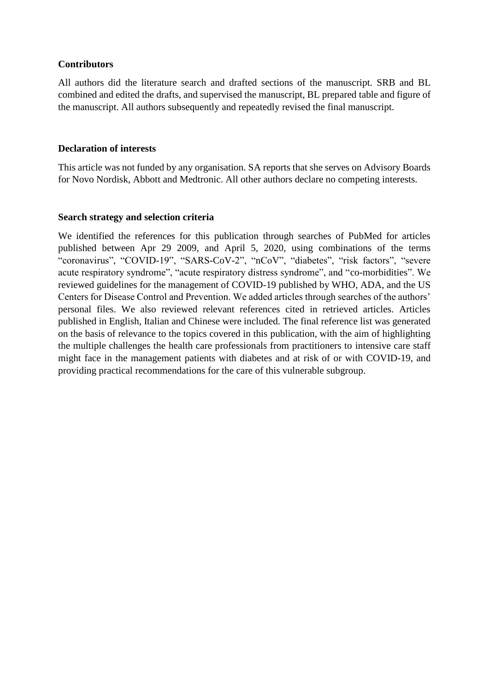#### **Contributors**

All authors did the literature search and drafted sections of the manuscript. SRB and BL combined and edited the drafts, and supervised the manuscript, BL prepared table and figure of the manuscript. All authors subsequently and repeatedly revised the final manuscript.

#### **Declaration of interests**

This article was not funded by any organisation. SA reports that she serves on Advisory Boards for Novo Nordisk, Abbott and Medtronic. All other authors declare no competing interests.

#### **Search strategy and selection criteria**

We identified the references for this publication through searches of PubMed for articles published between Apr 29 2009, and April 5, 2020, using combinations of the terms "coronavirus", "COVID-19", "SARS-CoV-2", "nCoV", "diabetes", "risk factors", "severe acute respiratory syndrome", "acute respiratory distress syndrome", and "co-morbidities". We reviewed guidelines for the management of COVID-19 published by WHO, ADA, and the US Centers for Disease Control and Prevention. We added articles through searches of the authors' personal files. We also reviewed relevant references cited in retrieved articles. Articles published in English, Italian and Chinese were included. The final reference list was generated on the basis of relevance to the topics covered in this publication, with the aim of highlighting the multiple challenges the health care professionals from practitioners to intensive care staff might face in the management patients with diabetes and at risk of or with COVID-19, and providing practical recommendations for the care of this vulnerable subgroup.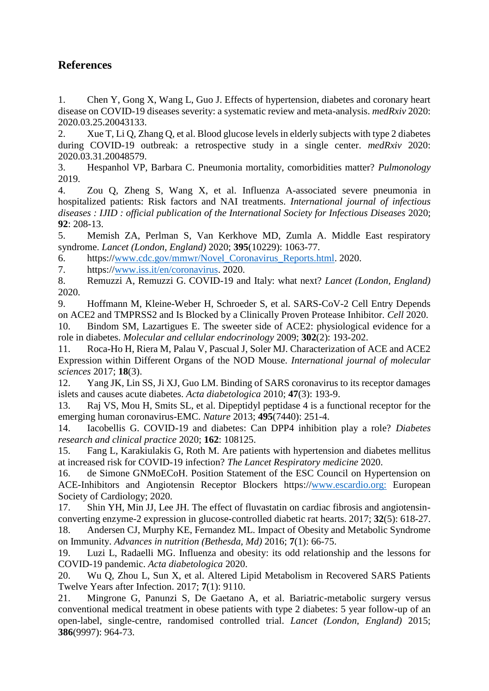# **References**

<span id="page-7-0"></span>1. Chen Y, Gong X, Wang L, Guo J. Effects of hypertension, diabetes and coronary heart disease on COVID-19 diseases severity: a systematic review and meta-analysis. *medRxiv* 2020: 2020.03.25.20043133.

<span id="page-7-1"></span>2. Xue T, Li Q, Zhang Q, et al. Blood glucose levels in elderly subjects with type 2 diabetes during COVID-19 outbreak: a retrospective study in a single center. *medRxiv* 2020: 2020.03.31.20048579.

<span id="page-7-2"></span>3. Hespanhol VP, Barbara C. Pneumonia mortality, comorbidities matter? *Pulmonology* 2019.

<span id="page-7-3"></span>4. Zou Q, Zheng S, Wang X, et al. Influenza A-associated severe pneumonia in hospitalized patients: Risk factors and NAI treatments. *International journal of infectious diseases : IJID : official publication of the International Society for Infectious Diseases* 2020; **92**: 208-13.

<span id="page-7-4"></span>5. Memish ZA, Perlman S, Van Kerkhove MD, Zumla A. Middle East respiratory syndrome. *Lancet (London, England)* 2020; **395**(10229): 1063-77.

<span id="page-7-5"></span>6. https:/[/www.cdc.gov/mmwr/Novel\\_Coronavirus\\_Reports.html.](http://www.cdc.gov/mmwr/Novel_Coronavirus_Reports.html) 2020.

7. https:/[/www.iss.it/en/coronavirus.](http://www.iss.it/en/coronavirus) 2020.

8. Remuzzi A, Remuzzi G. COVID-19 and Italy: what next? *Lancet (London, England)* 2020.

<span id="page-7-6"></span>9. Hoffmann M, Kleine-Weber H, Schroeder S, et al. SARS-CoV-2 Cell Entry Depends on ACE2 and TMPRSS2 and Is Blocked by a Clinically Proven Protease Inhibitor. *Cell* 2020.

<span id="page-7-7"></span>10. Bindom SM, Lazartigues E. The sweeter side of ACE2: physiological evidence for a role in diabetes. *Molecular and cellular endocrinology* 2009; **302**(2): 193-202.

11. Roca-Ho H, Riera M, Palau V, Pascual J, Soler MJ. Characterization of ACE and ACE2 Expression within Different Organs of the NOD Mouse. *International journal of molecular sciences* 2017; **18**(3).

12. Yang JK, Lin SS, Ji XJ, Guo LM. Binding of SARS coronavirus to its receptor damages islets and causes acute diabetes. *Acta diabetologica* 2010; **47**(3): 193-9.

<span id="page-7-8"></span>13. Raj VS, Mou H, Smits SL, et al. Dipeptidyl peptidase 4 is a functional receptor for the emerging human coronavirus-EMC. *Nature* 2013; **495**(7440): 251-4.

<span id="page-7-9"></span>14. Iacobellis G. COVID-19 and diabetes: Can DPP4 inhibition play a role? *Diabetes research and clinical practice* 2020; **162**: 108125.

<span id="page-7-10"></span>15. Fang L, Karakiulakis G, Roth M. Are patients with hypertension and diabetes mellitus at increased risk for COVID-19 infection? *The Lancet Respiratory medicine* 2020.

<span id="page-7-11"></span>16. de Simone GNMoECoH. Position Statement of the ESC Council on Hypertension on ACE-Inhibitors and Angiotensin Receptor Blockers https:/[/www.escardio.org:](http://www.escardio.org/) European Society of Cardiology; 2020.

<span id="page-7-12"></span>17. Shin YH, Min JJ, Lee JH. The effect of fluvastatin on cardiac fibrosis and angiotensinconverting enzyme-2 expression in glucose-controlled diabetic rat hearts. 2017; **32**(5): 618-27. 18. Andersen CJ, Murphy KE, Fernandez ML. Impact of Obesity and Metabolic Syndrome on Immunity. *Advances in nutrition (Bethesda, Md)* 2016; **7**(1): 66-75.

<span id="page-7-14"></span><span id="page-7-13"></span>19. Luzi L, Radaelli MG. Influenza and obesity: its odd relationship and the lessons for COVID-19 pandemic. *Acta diabetologica* 2020.

<span id="page-7-15"></span>20. Wu Q, Zhou L, Sun X, et al. Altered Lipid Metabolism in Recovered SARS Patients Twelve Years after Infection. 2017; **7**(1): 9110.

<span id="page-7-16"></span>21. Mingrone G, Panunzi S, De Gaetano A, et al. Bariatric-metabolic surgery versus conventional medical treatment in obese patients with type 2 diabetes: 5 year follow-up of an open-label, single-centre, randomised controlled trial. *Lancet (London, England)* 2015; **386**(9997): 964-73.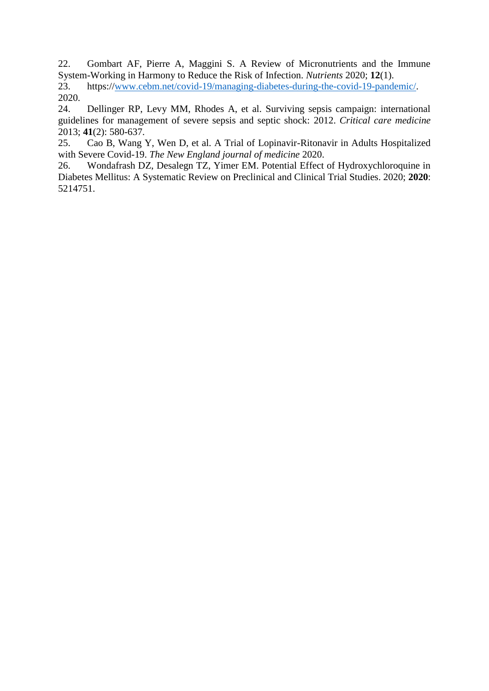<span id="page-8-0"></span>22. Gombart AF, Pierre A, Maggini S. A Review of Micronutrients and the Immune System-Working in Harmony to Reduce the Risk of Infection. *Nutrients* 2020; **12**(1).

<span id="page-8-1"></span>23. https:/[/www.cebm.net/covid-19/managing-diabetes-during-the-covid-19-pandemic/.](http://www.cebm.net/covid-19/managing-diabetes-during-the-covid-19-pandemic/) 2020.

<span id="page-8-2"></span>24. Dellinger RP, Levy MM, Rhodes A, et al. Surviving sepsis campaign: international guidelines for management of severe sepsis and septic shock: 2012. *Critical care medicine* 2013; **41**(2): 580-637.

<span id="page-8-3"></span>25. Cao B, Wang Y, Wen D, et al. A Trial of Lopinavir-Ritonavir in Adults Hospitalized with Severe Covid-19. *The New England journal of medicine* 2020.

<span id="page-8-4"></span>26. Wondafrash DZ, Desalegn TZ, Yimer EM. Potential Effect of Hydroxychloroquine in Diabetes Mellitus: A Systematic Review on Preclinical and Clinical Trial Studies. 2020; **2020**: 5214751.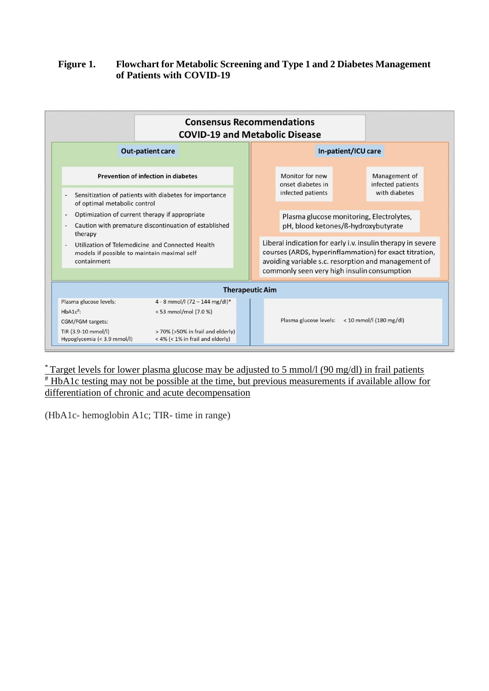### **Figure 1. Flowchart for Metabolic Screening and Type 1 and 2 Diabetes Management of Patients with COVID-19**

|                                                                                                                | <b>Consensus Recommendations</b><br><b>COVID-19 and Metabolic Disease</b> |  |                                                                                                                                                                              |                                                                                 |  |                                                     |  |
|----------------------------------------------------------------------------------------------------------------|---------------------------------------------------------------------------|--|------------------------------------------------------------------------------------------------------------------------------------------------------------------------------|---------------------------------------------------------------------------------|--|-----------------------------------------------------|--|
| <b>Out-patient care</b>                                                                                        |                                                                           |  | In-patient/ICU care                                                                                                                                                          |                                                                                 |  |                                                     |  |
| Prevention of infection in diabetes                                                                            |                                                                           |  |                                                                                                                                                                              | Monitor for new<br>onset diabetes in                                            |  | Management of<br>infected patients<br>with diabetes |  |
| Sensitization of patients with diabetes for importance<br>of optimal metabolic control                         |                                                                           |  |                                                                                                                                                                              | infected patients                                                               |  |                                                     |  |
| Optimization of current therapy if appropriate                                                                 |                                                                           |  |                                                                                                                                                                              | Plasma glucose monitoring, Electrolytes,<br>pH, blood ketones/ß-hydroxybutyrate |  |                                                     |  |
| Caution with premature discontinuation of established<br>therapy                                               |                                                                           |  |                                                                                                                                                                              |                                                                                 |  |                                                     |  |
| Utilization of Telemedicine and Connected Health<br>models if possible to maintain maximal self<br>containment |                                                                           |  | Liberal indication for early i.v. insulin therapy in severe<br>courses (ARDS, hyperinflammation) for exact titration,<br>avoiding variable s.c. resorption and management of |                                                                                 |  |                                                     |  |
|                                                                                                                |                                                                           |  |                                                                                                                                                                              | commonly seen very high insulin consumption                                     |  |                                                     |  |
| <b>Therapeutic Aim</b>                                                                                         |                                                                           |  |                                                                                                                                                                              |                                                                                 |  |                                                     |  |
| Plasma glucose levels:                                                                                         | 4 - 8 mmol/l (72 - 144 mg/dl)*                                            |  |                                                                                                                                                                              |                                                                                 |  |                                                     |  |
| $HbA1c$ <sup>#</sup> :                                                                                         | <53 mmol/mol (7.0 %)                                                      |  |                                                                                                                                                                              |                                                                                 |  |                                                     |  |
| CGM/FGM targets:                                                                                               |                                                                           |  |                                                                                                                                                                              | Plasma glucose levels:                                                          |  | $< 10$ mmol/l (180 mg/dl)                           |  |
| TIR (3.9-10 mmol/l)<br>Hypoglycemia (< 3.9 mmol/l)                                                             | > 70% (>50% in frail and elderly)<br>< 4% (< 1% in frail and elderly)     |  |                                                                                                                                                                              |                                                                                 |  |                                                     |  |

 $*$  Target levels for lower plasma glucose may be adjusted to 5 mmol/l (90 mg/dl) in frail patients # HbA1c testing may not be possible at the time, but previous measurements if available allow for differentiation of chronic and acute decompensation

(HbA1c- hemoglobin A1c; TIR- time in range)